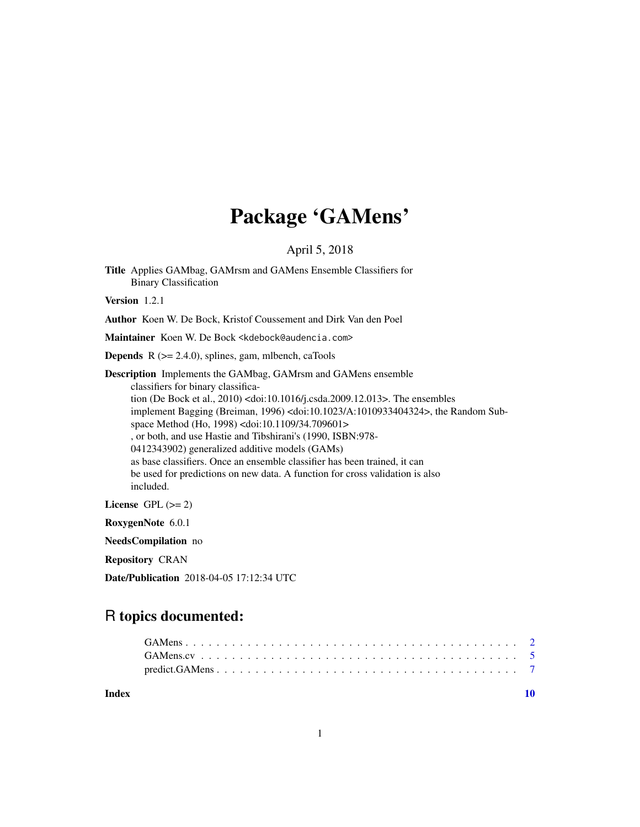# Package 'GAMens'

### April 5, 2018

Title Applies GAMbag, GAMrsm and GAMens Ensemble Classifiers for Binary Classification

Version 1.2.1

Author Koen W. De Bock, Kristof Coussement and Dirk Van den Poel

Maintainer Koen W. De Bock <kdebock@audencia.com>

**Depends**  $R$  ( $>= 2.4.0$ ), splines, gam, mlbench, caTools

Description Implements the GAMbag, GAMrsm and GAMens ensemble classifiers for binary classification (De Bock et al., 2010) <doi:10.1016/j.csda.2009.12.013>. The ensembles implement Bagging (Breiman, 1996) <doi:10.1023/A:1010933404324>, the Random Subspace Method (Ho, 1998) <doi:10.1109/34.709601> , or both, and use Hastie and Tibshirani's (1990, ISBN:978- 0412343902) generalized additive models (GAMs) as base classifiers. Once an ensemble classifier has been trained, it can be used for predictions on new data. A function for cross validation is also included.

License GPL  $(>= 2)$ 

RoxygenNote 6.0.1

NeedsCompilation no

Repository CRAN

Date/Publication 2018-04-05 17:12:34 UTC

## R topics documented:

 $\blacksquare$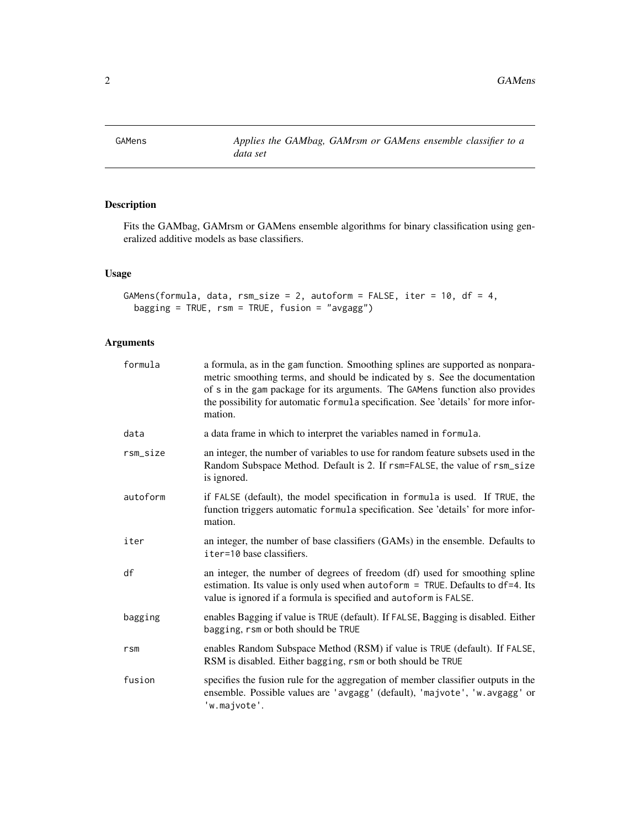<span id="page-1-1"></span><span id="page-1-0"></span>GAMens *Applies the GAMbag, GAMrsm or GAMens ensemble classifier to a data set*

#### Description

Fits the GAMbag, GAMrsm or GAMens ensemble algorithms for binary classification using generalized additive models as base classifiers.

#### Usage

```
GAMens(formula, data, rsm_size = 2, autoform = FALSE, iter = 10, df = 4,
 bagging = TRUE, rsm = TRUE, fusion = "avgagg")
```
#### Arguments

| formula         | a formula, as in the gam function. Smoothing splines are supported as nonpara-<br>metric smoothing terms, and should be indicated by s. See the documentation<br>of s in the gam package for its arguments. The GAMens function also provides<br>the possibility for automatic formula specification. See 'details' for more infor-<br>mation. |
|-----------------|------------------------------------------------------------------------------------------------------------------------------------------------------------------------------------------------------------------------------------------------------------------------------------------------------------------------------------------------|
| data            | a data frame in which to interpret the variables named in formula.                                                                                                                                                                                                                                                                             |
| rsm_size        | an integer, the number of variables to use for random feature subsets used in the<br>Random Subspace Method. Default is 2. If rsm=FALSE, the value of rsm_size<br>is ignored.                                                                                                                                                                  |
| autoform        | if FALSE (default), the model specification in formula is used. If TRUE, the<br>function triggers automatic formula specification. See 'details' for more infor-<br>mation.                                                                                                                                                                    |
| iter            | an integer, the number of base classifiers (GAMs) in the ensemble. Defaults to<br>iter=10 base classifiers.                                                                                                                                                                                                                                    |
| df              | an integer, the number of degrees of freedom (df) used for smoothing spline<br>estimation. Its value is only used when autoform = TRUE. Defaults to df=4. Its<br>value is ignored if a formula is specified and autoform is FALSE.                                                                                                             |
| bagging         | enables Bagging if value is TRUE (default). If FALSE, Bagging is disabled. Either<br>bagging, rsm or both should be TRUE                                                                                                                                                                                                                       |
| r <sub>sm</sub> | enables Random Subspace Method (RSM) if value is TRUE (default). If FALSE,<br>RSM is disabled. Either bagging, rsm or both should be TRUE                                                                                                                                                                                                      |
| fusion          | specifies the fusion rule for the aggregation of member classifier outputs in the<br>ensemble. Possible values are 'avgagg' (default), 'majvote', 'w.avgagg' or<br>'w.majvote'.                                                                                                                                                                |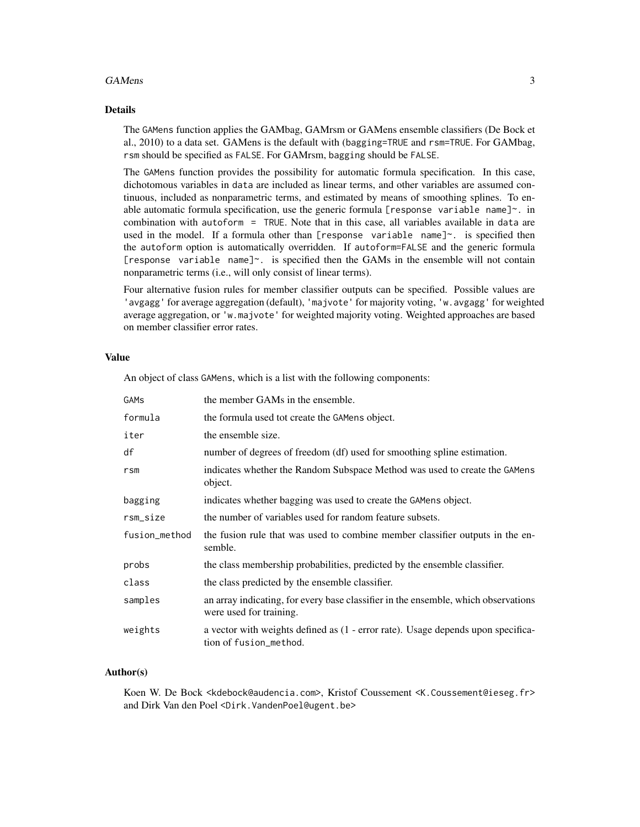#### GAMens 3

#### Details

The GAMens function applies the GAMbag, GAMrsm or GAMens ensemble classifiers (De Bock et al., 2010) to a data set. GAMens is the default with (bagging=TRUE and rsm=TRUE. For GAMbag, rsm should be specified as FALSE. For GAMrsm, bagging should be FALSE.

The GAMens function provides the possibility for automatic formula specification. In this case, dichotomous variables in data are included as linear terms, and other variables are assumed continuous, included as nonparametric terms, and estimated by means of smoothing splines. To enable automatic formula specification, use the generic formula [response variable name] $\sim$ . in combination with autoform = TRUE. Note that in this case, all variables available in data are used in the model. If a formula other than [response variable name] $\sim$ . is specified then the autoform option is automatically overridden. If autoform=FALSE and the generic formula [response variable name] $\sim$ . is specified then the GAMs in the ensemble will not contain nonparametric terms (i.e., will only consist of linear terms).

Four alternative fusion rules for member classifier outputs can be specified. Possible values are 'avgagg' for average aggregation (default), 'majvote' for majority voting, 'w.avgagg' for weighted average aggregation, or 'w.majvote' for weighted majority voting. Weighted approaches are based on member classifier error rates.

#### Value

An object of class GAMens, which is a list with the following components:

| GAMs            | the member GAMs in the ensemble.                                                                              |
|-----------------|---------------------------------------------------------------------------------------------------------------|
| formula         | the formula used tot create the GAMens object.                                                                |
| iter            | the ensemble size.                                                                                            |
| df              | number of degrees of freedom (df) used for smoothing spline estimation.                                       |
| r <sub>sm</sub> | indicates whether the Random Subspace Method was used to create the GAMens<br>object.                         |
| bagging         | indicates whether bagging was used to create the GAMens object.                                               |
| rsm_size        | the number of variables used for random feature subsets.                                                      |
| fusion_method   | the fusion rule that was used to combine member classifier outputs in the en-<br>semble.                      |
| probs           | the class membership probabilities, predicted by the ensemble classifier.                                     |
| class           | the class predicted by the ensemble classifier.                                                               |
| samples         | an array indicating, for every base classifier in the ensemble, which observations<br>were used for training. |
| weights         | a vector with weights defined as (1 - error rate). Usage depends upon specifica-<br>tion of fusion_method.    |

#### Author(s)

Koen W. De Bock <kdebock@audencia.com>, Kristof Coussement <K.Coussement@ieseg.fr> and Dirk Van den Poel <Dirk.VandenPoel@ugent.be>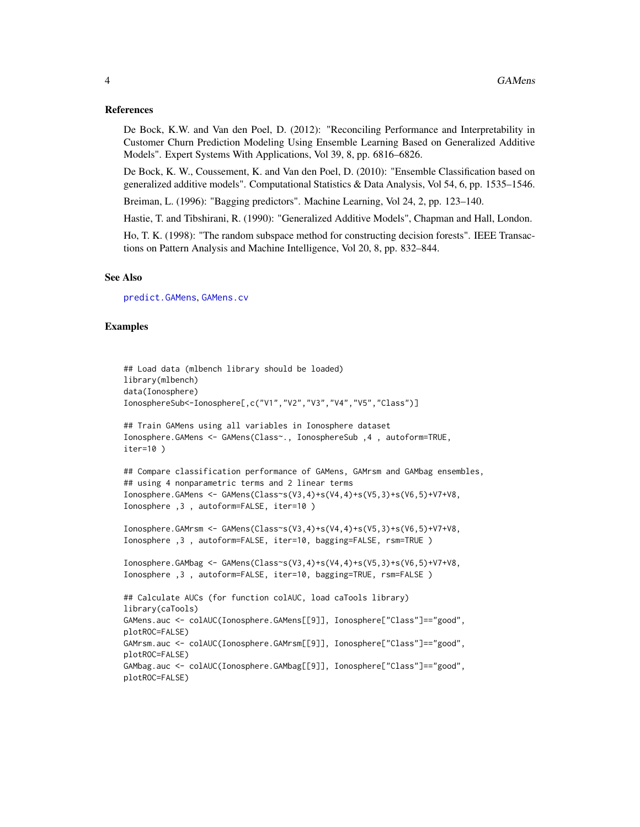#### References

De Bock, K.W. and Van den Poel, D. (2012): "Reconciling Performance and Interpretability in Customer Churn Prediction Modeling Using Ensemble Learning Based on Generalized Additive Models". Expert Systems With Applications, Vol 39, 8, pp. 6816–6826.

De Bock, K. W., Coussement, K. and Van den Poel, D. (2010): "Ensemble Classification based on generalized additive models". Computational Statistics & Data Analysis, Vol 54, 6, pp. 1535–1546.

Breiman, L. (1996): "Bagging predictors". Machine Learning, Vol 24, 2, pp. 123–140.

Hastie, T. and Tibshirani, R. (1990): "Generalized Additive Models", Chapman and Hall, London.

Ho, T. K. (1998): "The random subspace method for constructing decision forests". IEEE Transactions on Pattern Analysis and Machine Intelligence, Vol 20, 8, pp. 832–844.

#### See Also

[predict.GAMens](#page-6-1), [GAMens.cv](#page-4-1)

#### Examples

```
## Load data (mlbench library should be loaded)
library(mlbench)
data(Ionosphere)
IonosphereSub<-Ionosphere[,c("V1","V2","V3","V4","V5","Class")]
## Train GAMens using all variables in Ionosphere dataset
Ionosphere.GAMens <- GAMens(Class~., IonosphereSub ,4 , autoform=TRUE,
iter=10 )
## Compare classification performance of GAMens, GAMrsm and GAMbag ensembles,
## using 4 nonparametric terms and 2 linear terms
Ionosphere.GAMens <- GAMens(Class~s(V3,4)+s(V4,4)+s(V5,3)+s(V6,5)+V7+V8,
Ionosphere ,3 , autoform=FALSE, iter=10 )
Ionosphere.GAMrsm <- GAMens(Class~s(V3,4)+s(V4,4)+s(V5,3)+s(V6,5)+V7+V8,
Ionosphere ,3 , autoform=FALSE, iter=10, bagging=FALSE, rsm=TRUE )
Ionosphere.GAMbag <- GAMens(Class~s(V3,4)+s(V4,4)+s(V5,3)+s(V6,5)+V7+V8,
Ionosphere ,3 , autoform=FALSE, iter=10, bagging=TRUE, rsm=FALSE )
## Calculate AUCs (for function colAUC, load caTools library)
library(caTools)
GAMens.auc <- colAUC(Ionosphere.GAMens[[9]], Ionosphere["Class"]=="good",
plotROC=FALSE)
GAMrsm.auc <- colAUC(Ionosphere.GAMrsm[[9]], Ionosphere["Class"]=="good",
plotROC=FALSE)
GAMbag.auc <- colAUC(Ionosphere.GAMbag[[9]], Ionosphere["Class"]=="good",
plotROC=FALSE)
```
<span id="page-3-0"></span>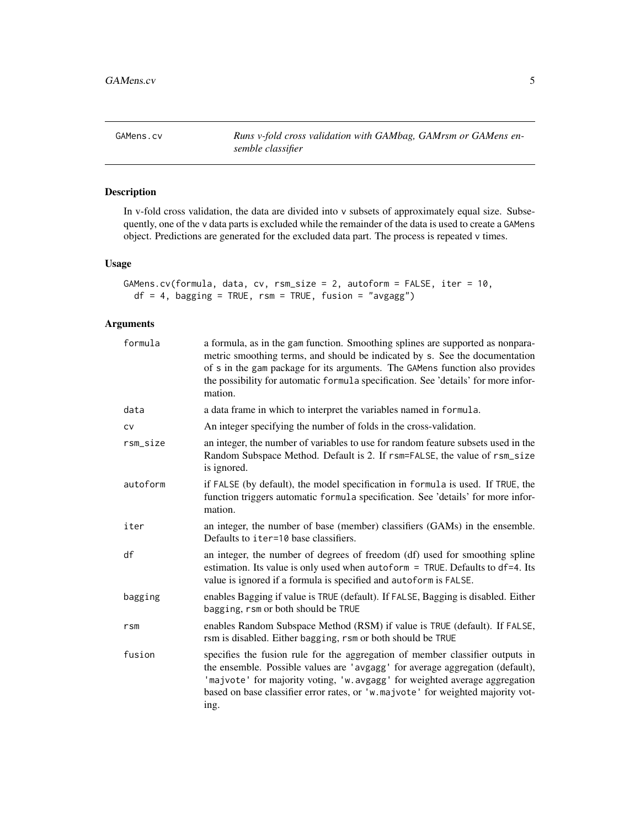<span id="page-4-1"></span><span id="page-4-0"></span>GAMens.cv **Runs v-fold cross validation with GAMbag, GAMrsm or GAMens en***semble classifier*

#### Description

In v-fold cross validation, the data are divided into v subsets of approximately equal size. Subsequently, one of the v data parts is excluded while the remainder of the data is used to create a GAMens object. Predictions are generated for the excluded data part. The process is repeated v times.

#### Usage

```
GAMens.cv(formula, data, cv, rsm_size = 2, autoform = FALSE, iter = 10,
 df = 4, bagging = TRUE, rsm = TRUE, fusion = "avgagg")
```
#### Arguments

| formula  | a formula, as in the gam function. Smoothing splines are supported as nonpara-<br>metric smoothing terms, and should be indicated by s. See the documentation<br>of s in the gam package for its arguments. The GAMens function also provides<br>the possibility for automatic formula specification. See 'details' for more infor-<br>mation. |
|----------|------------------------------------------------------------------------------------------------------------------------------------------------------------------------------------------------------------------------------------------------------------------------------------------------------------------------------------------------|
| data     | a data frame in which to interpret the variables named in formula.                                                                                                                                                                                                                                                                             |
| CV       | An integer specifying the number of folds in the cross-validation.                                                                                                                                                                                                                                                                             |
| rsm_size | an integer, the number of variables to use for random feature subsets used in the<br>Random Subspace Method. Default is 2. If rsm=FALSE, the value of rsm_size<br>is ignored.                                                                                                                                                                  |
| autoform | if FALSE (by default), the model specification in formula is used. If TRUE, the<br>function triggers automatic formula specification. See 'details' for more infor-<br>mation.                                                                                                                                                                 |
| iter     | an integer, the number of base (member) classifiers (GAMs) in the ensemble.<br>Defaults to iter=10 base classifiers.                                                                                                                                                                                                                           |
| df       | an integer, the number of degrees of freedom (df) used for smoothing spline<br>estimation. Its value is only used when autoform = TRUE. Defaults to df=4. Its<br>value is ignored if a formula is specified and autoform is FALSE.                                                                                                             |
| bagging  | enables Bagging if value is TRUE (default). If FALSE, Bagging is disabled. Either<br>bagging, rsm or both should be TRUE                                                                                                                                                                                                                       |
| rsm      | enables Random Subspace Method (RSM) if value is TRUE (default). If FALSE,<br>rsm is disabled. Either bagging, rsm or both should be TRUE                                                                                                                                                                                                      |
| fusion   | specifies the fusion rule for the aggregation of member classifier outputs in<br>the ensemble. Possible values are 'avgagg' for average aggregation (default),<br>'majvote' for majority voting, 'w. avgagg' for weighted average aggregation<br>based on base classifier error rates, or 'w.majvote' for weighted majority vot-<br>ing.       |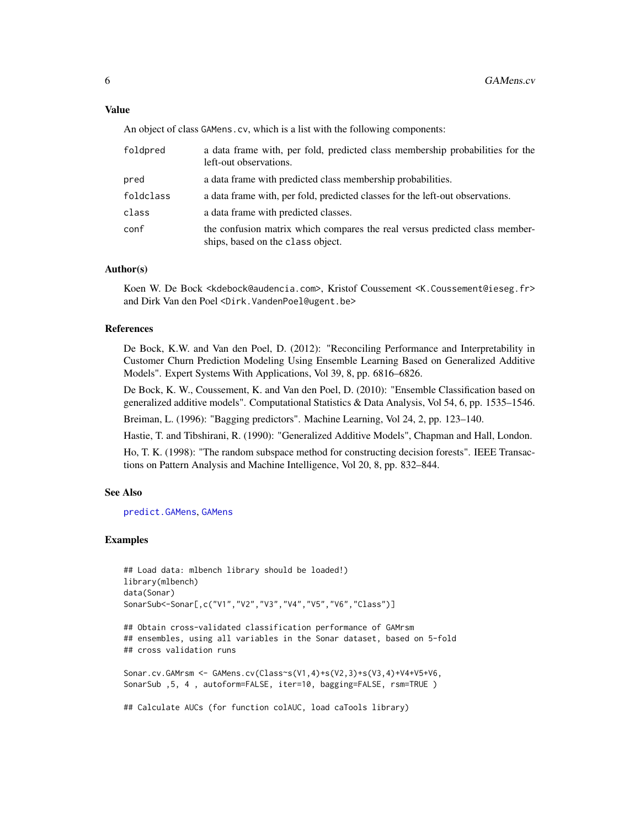#### <span id="page-5-0"></span>Value

An object of class GAMens.cv, which is a list with the following components:

| foldpred  | a data frame with, per fold, predicted class membership probabilities for the<br>left-out observations.          |
|-----------|------------------------------------------------------------------------------------------------------------------|
| pred      | a data frame with predicted class membership probabilities.                                                      |
| foldclass | a data frame with, per fold, predicted classes for the left-out observations.                                    |
| class     | a data frame with predicted classes.                                                                             |
| conf      | the confusion matrix which compares the real versus predicted class member-<br>ships, based on the class object. |

#### Author(s)

Koen W. De Bock <kdebock@audencia.com>, Kristof Coussement <K.Coussement@ieseg.fr> and Dirk Van den Poel <Dirk.VandenPoel@ugent.be>

#### References

De Bock, K.W. and Van den Poel, D. (2012): "Reconciling Performance and Interpretability in Customer Churn Prediction Modeling Using Ensemble Learning Based on Generalized Additive Models". Expert Systems With Applications, Vol 39, 8, pp. 6816–6826.

De Bock, K. W., Coussement, K. and Van den Poel, D. (2010): "Ensemble Classification based on generalized additive models". Computational Statistics & Data Analysis, Vol 54, 6, pp. 1535–1546.

Breiman, L. (1996): "Bagging predictors". Machine Learning, Vol 24, 2, pp. 123–140.

Hastie, T. and Tibshirani, R. (1990): "Generalized Additive Models", Chapman and Hall, London.

Ho, T. K. (1998): "The random subspace method for constructing decision forests". IEEE Transactions on Pattern Analysis and Machine Intelligence, Vol 20, 8, pp. 832–844.

#### See Also

[predict.GAMens](#page-6-1), [GAMens](#page-1-1)

#### Examples

```
## Load data: mlbench library should be loaded!)
library(mlbench)
data(Sonar)
SonarSub<-Sonar[,c("V1","V2","V3","V4","V5","V6","Class")]
```

```
## Obtain cross-validated classification performance of GAMrsm
## ensembles, using all variables in the Sonar dataset, based on 5-fold
## cross validation runs
```

```
Sonar.cv.GAMrsm <- GAMens.cv(Class~s(V1,4)+s(V2,3)+s(V3,4)+V4+V5+V6,
SonarSub ,5, 4 , autoform=FALSE, iter=10, bagging=FALSE, rsm=TRUE )
```
## Calculate AUCs (for function colAUC, load caTools library)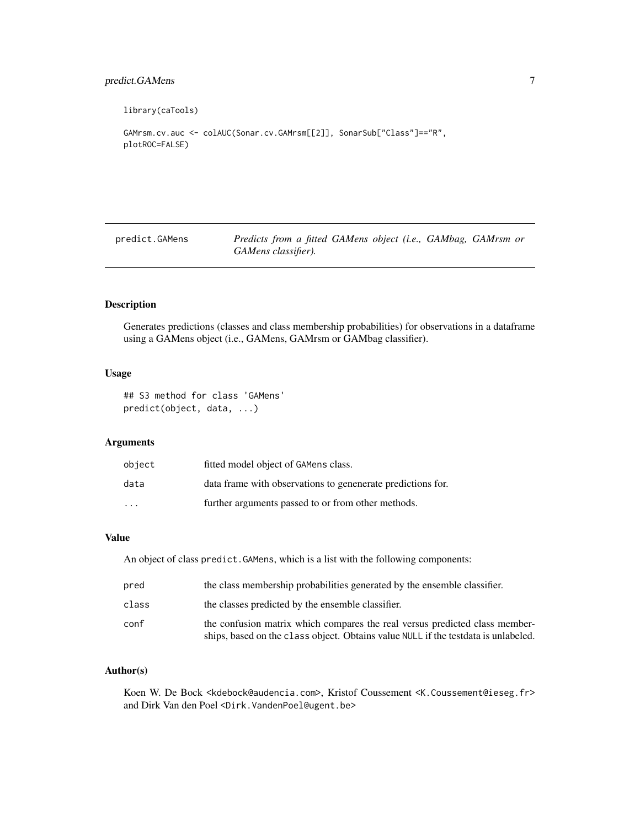#### <span id="page-6-0"></span>predict.GAMens 7

library(caTools)

```
GAMrsm.cv.auc <- colAUC(Sonar.cv.GAMrsm[[2]], SonarSub["Class"]=="R",
plotROC=FALSE)
```
<span id="page-6-1"></span>predict.GAMens *Predicts from a fitted GAMens object (i.e., GAMbag, GAMrsm or GAMens classifier).*

#### Description

Generates predictions (classes and class membership probabilities) for observations in a dataframe using a GAMens object (i.e., GAMens, GAMrsm or GAMbag classifier).

#### Usage

```
## S3 method for class 'GAMens'
predict(object, data, ...)
```
#### Arguments

| object   | fitted model object of GAMens class.                      |
|----------|-----------------------------------------------------------|
| data     | data frame with observations to generate predictions for. |
| $\cdots$ | further arguments passed to or from other methods.        |

#### Value

An object of class predict.GAMens, which is a list with the following components:

| pred  | the class membership probabilities generated by the ensemble classifier.                                                                                           |
|-------|--------------------------------------------------------------------------------------------------------------------------------------------------------------------|
| class | the classes predicted by the ensemble classifier.                                                                                                                  |
| conf  | the confusion matrix which compares the real versus predicted class member-<br>ships, based on the class object. Obtains value NULL if the test data is unlabeled. |

#### Author(s)

Koen W. De Bock <kdebock@audencia.com>, Kristof Coussement <K.Coussement@ieseg.fr> and Dirk Van den Poel <Dirk.VandenPoel@ugent.be>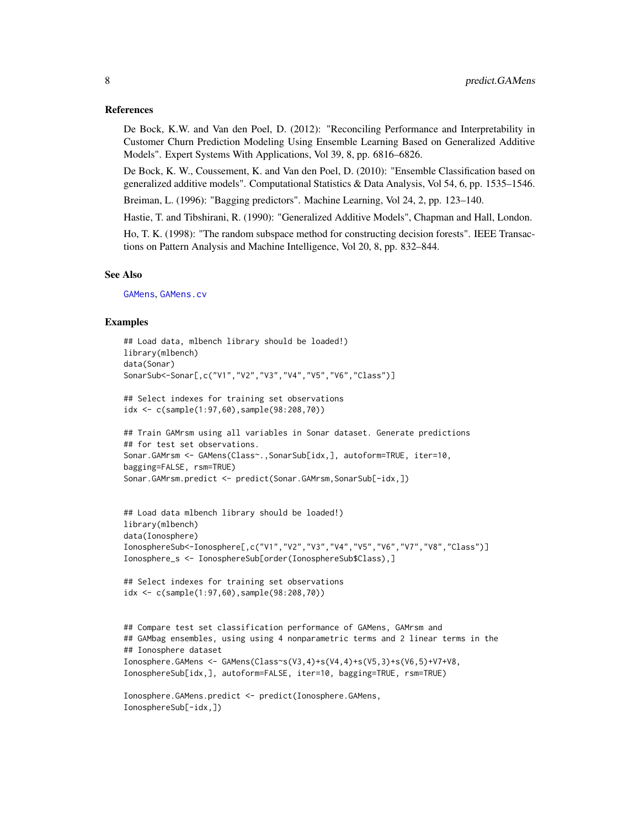#### <span id="page-7-0"></span>References

De Bock, K.W. and Van den Poel, D. (2012): "Reconciling Performance and Interpretability in Customer Churn Prediction Modeling Using Ensemble Learning Based on Generalized Additive Models". Expert Systems With Applications, Vol 39, 8, pp. 6816–6826.

De Bock, K. W., Coussement, K. and Van den Poel, D. (2010): "Ensemble Classification based on generalized additive models". Computational Statistics & Data Analysis, Vol 54, 6, pp. 1535–1546.

Breiman, L. (1996): "Bagging predictors". Machine Learning, Vol 24, 2, pp. 123–140.

Hastie, T. and Tibshirani, R. (1990): "Generalized Additive Models", Chapman and Hall, London.

Ho, T. K. (1998): "The random subspace method for constructing decision forests". IEEE Transactions on Pattern Analysis and Machine Intelligence, Vol 20, 8, pp. 832–844.

#### See Also

[GAMens](#page-1-1), [GAMens.cv](#page-4-1)

#### Examples

```
## Load data, mlbench library should be loaded!)
library(mlbench)
data(Sonar)
SonarSub<-Sonar[,c("V1","V2","V3","V4","V5","V6","Class")]
## Select indexes for training set observations
idx <- c(sample(1:97,60),sample(98:208,70))
## Train GAMrsm using all variables in Sonar dataset. Generate predictions
## for test set observations.
Sonar.GAMrsm <- GAMens(Class~.,SonarSub[idx,], autoform=TRUE, iter=10,
bagging=FALSE, rsm=TRUE)
Sonar.GAMrsm.predict <- predict(Sonar.GAMrsm,SonarSub[-idx,])
## Load data mlbench library should be loaded!)
library(mlbench)
data(Ionosphere)
IonosphereSub<-Ionosphere[,c("V1","V2","V3","V4","V5","V6","V7","V8","Class")]
Ionosphere_s <- IonosphereSub[order(IonosphereSub$Class),]
## Select indexes for training set observations
idx <- c(sample(1:97,60),sample(98:208,70))
## Compare test set classification performance of GAMens, GAMrsm and
## GAMbag ensembles, using using 4 nonparametric terms and 2 linear terms in the
## Ionosphere dataset
Ionosphere.GAMens <- GAMens(Class~s(V3,4)+s(V4,4)+s(V5,3)+s(V6,5)+V7+V8,
IonosphereSub[idx,], autoform=FALSE, iter=10, bagging=TRUE, rsm=TRUE)
Ionosphere.GAMens.predict <- predict(Ionosphere.GAMens,
IonosphereSub[-idx,])
```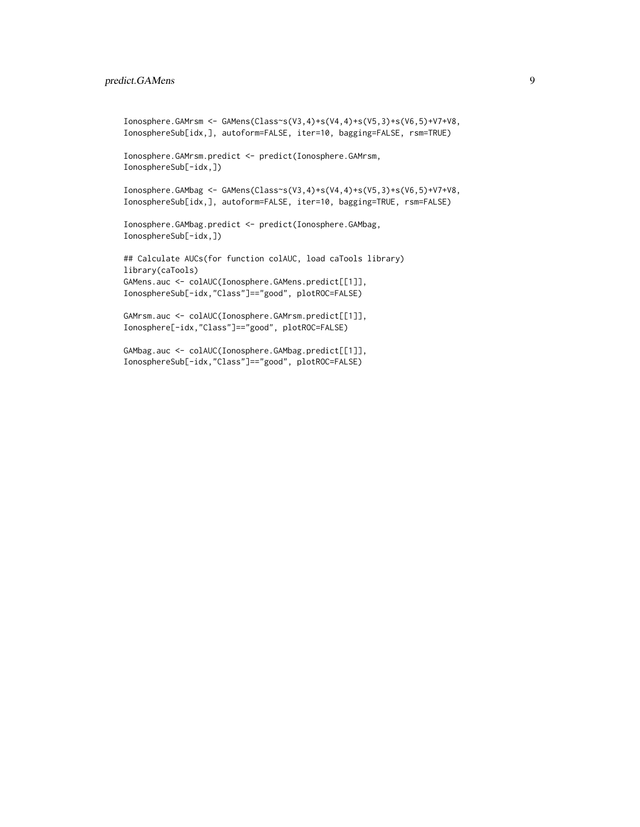#### predict.GAMens 9

```
Ionosphere.GAMrsm <- GAMens(Class~s(V3,4)+s(V4,4)+s(V5,3)+s(V6,5)+V7+V8,
IonosphereSub[idx,], autoform=FALSE, iter=10, bagging=FALSE, rsm=TRUE)
```

```
Ionosphere.GAMrsm.predict <- predict(Ionosphere.GAMrsm,
IonosphereSub[-idx,])
```
Ionosphere.GAMbag <- GAMens(Class~s(V3,4)+s(V4,4)+s(V5,3)+s(V6,5)+V7+V8, IonosphereSub[idx,], autoform=FALSE, iter=10, bagging=TRUE, rsm=FALSE)

Ionosphere.GAMbag.predict <- predict(Ionosphere.GAMbag, IonosphereSub[-idx,])

## Calculate AUCs(for function colAUC, load caTools library) library(caTools) GAMens.auc <- colAUC(Ionosphere.GAMens.predict[[1]], IonosphereSub[-idx,"Class"]=="good", plotROC=FALSE)

GAMrsm.auc <- colAUC(Ionosphere.GAMrsm.predict[[1]], Ionosphere[-idx,"Class"]=="good", plotROC=FALSE)

GAMbag.auc <- colAUC(Ionosphere.GAMbag.predict[[1]], IonosphereSub[-idx,"Class"]=="good", plotROC=FALSE)